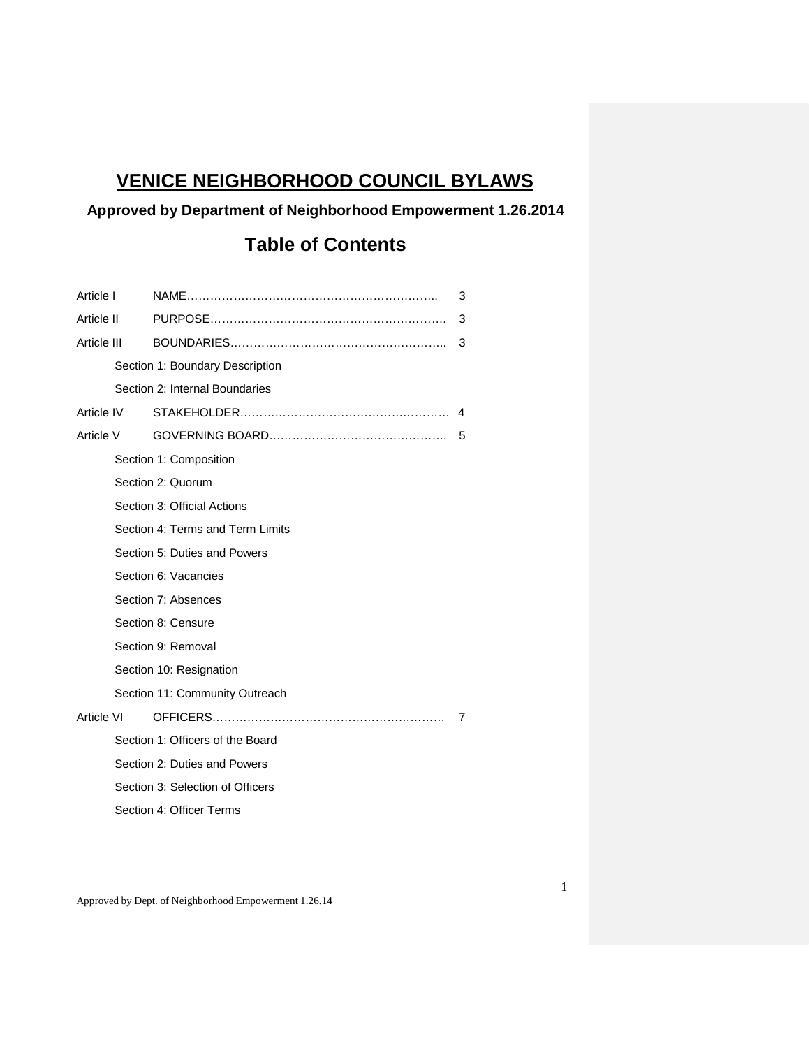# **VENICE NEIGHBORHOOD COUNCIL BYLAWS**

# **Approved by Department of Neighborhood Empowerment 1.26.2014**

# **Table of Contents**

| Article I                                            |                         |                                  | 3 |  |
|------------------------------------------------------|-------------------------|----------------------------------|---|--|
| Article II<br>Article III<br>Article IV<br>Article V |                         |                                  | 3 |  |
|                                                      |                         |                                  | 3 |  |
|                                                      |                         | Section 1: Boundary Description  |   |  |
|                                                      |                         | Section 2: Internal Boundaries   |   |  |
|                                                      |                         |                                  | 4 |  |
|                                                      |                         |                                  | 5 |  |
|                                                      | Section 1: Composition  |                                  |   |  |
|                                                      |                         | Section 2: Quorum                |   |  |
|                                                      |                         | Section 3: Official Actions      |   |  |
|                                                      |                         | Section 4: Terms and Term Limits |   |  |
|                                                      |                         | Section 5: Duties and Powers     |   |  |
|                                                      |                         | Section 6: Vacancies             |   |  |
|                                                      |                         | Section 7: Absences              |   |  |
|                                                      |                         | Section 8: Censure               |   |  |
|                                                      |                         | Section 9: Removal               |   |  |
|                                                      | Section 10: Resignation |                                  |   |  |
| Section 11: Community Outreach                       |                         |                                  |   |  |
| Article VI                                           |                         |                                  | 7 |  |
|                                                      |                         | Section 1: Officers of the Board |   |  |
|                                                      |                         | Section 2: Duties and Powers     |   |  |
|                                                      |                         | Section 3: Selection of Officers |   |  |
|                                                      |                         | Section 4: Officer Terms         |   |  |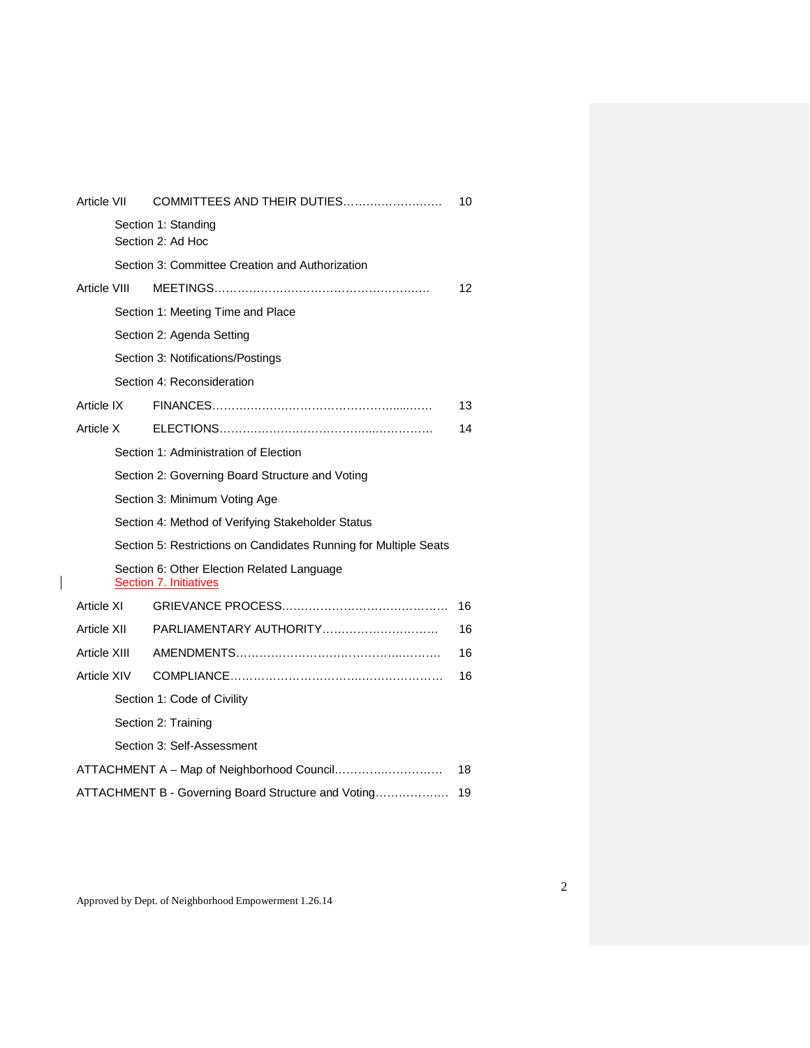| <b>Article VII</b>                                        |                                                                  | COMMITTEES AND THEIR DUTIES                                                 | 10 |  |  |
|-----------------------------------------------------------|------------------------------------------------------------------|-----------------------------------------------------------------------------|----|--|--|
| Section 1: Standing<br>Section 2: Ad Hoc                  |                                                                  |                                                                             |    |  |  |
| Section 3: Committee Creation and Authorization           |                                                                  |                                                                             |    |  |  |
| Article VIII                                              |                                                                  |                                                                             | 12 |  |  |
|                                                           |                                                                  | Section 1: Meeting Time and Place                                           |    |  |  |
|                                                           |                                                                  | Section 2: Agenda Setting                                                   |    |  |  |
|                                                           |                                                                  | Section 3: Notifications/Postings                                           |    |  |  |
|                                                           |                                                                  | Section 4: Reconsideration                                                  |    |  |  |
| Article IX                                                |                                                                  |                                                                             | 13 |  |  |
| Article X                                                 |                                                                  |                                                                             | 14 |  |  |
|                                                           |                                                                  | Section 1: Administration of Election                                       |    |  |  |
|                                                           | Section 2: Governing Board Structure and Voting                  |                                                                             |    |  |  |
|                                                           | Section 3: Minimum Voting Age                                    |                                                                             |    |  |  |
|                                                           | Section 4: Method of Verifying Stakeholder Status                |                                                                             |    |  |  |
|                                                           | Section 5: Restrictions on Candidates Running for Multiple Seats |                                                                             |    |  |  |
|                                                           |                                                                  | Section 6: Other Election Related Language<br><b>Section 7. Initiatives</b> |    |  |  |
| Article XI                                                |                                                                  |                                                                             | 16 |  |  |
| Article XII                                               |                                                                  |                                                                             | 16 |  |  |
| Article XIII                                              |                                                                  |                                                                             | 16 |  |  |
| Article XIV                                               |                                                                  |                                                                             | 16 |  |  |
| Section 1: Code of Civility                               |                                                                  |                                                                             |    |  |  |
|                                                           | Section 2: Training                                              |                                                                             |    |  |  |
|                                                           | Section 3: Self-Assessment                                       |                                                                             |    |  |  |
| ATTACHMENT A - Map of Neighborhood Council<br>18          |                                                                  |                                                                             |    |  |  |
| ATTACHMENT B - Governing Board Structure and Voting<br>19 |                                                                  |                                                                             |    |  |  |

Approved by Dept. of Neighborhood Empowerment 1.26.14

 $\mathbf I$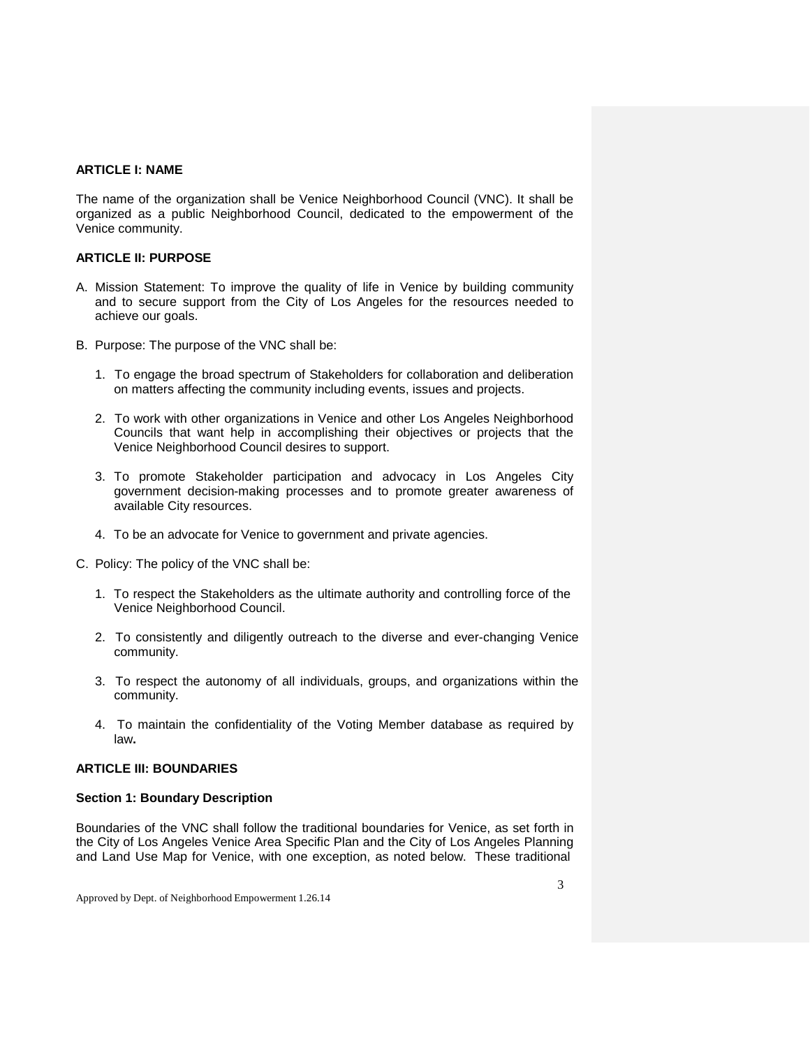# **ARTICLE I: NAME**

The name of the organization shall be Venice Neighborhood Council (VNC). It shall be organized as a public Neighborhood Council, dedicated to the empowerment of the Venice community.

# **ARTICLE II: PURPOSE**

- A. Mission Statement: To improve the quality of life in Venice by building community and to secure support from the City of Los Angeles for the resources needed to achieve our goals.
- B. Purpose: The purpose of the VNC shall be:
	- 1. To engage the broad spectrum of Stakeholders for collaboration and deliberation on matters affecting the community including events, issues and projects.
	- 2. To work with other organizations in Venice and other Los Angeles Neighborhood Councils that want help in accomplishing their objectives or projects that the Venice Neighborhood Council desires to support.
	- 3. To promote Stakeholder participation and advocacy in Los Angeles City government decision-making processes and to promote greater awareness of available City resources.
	- 4. To be an advocate for Venice to government and private agencies.
- C. Policy: The policy of the VNC shall be:
	- 1. To respect the Stakeholders as the ultimate authority and controlling force of the Venice Neighborhood Council.
	- 2. To consistently and diligently outreach to the diverse and ever-changing Venice community.
	- 3. To respect the autonomy of all individuals, groups, and organizations within the community.
	- 4. To maintain the confidentiality of the Voting Member database as required by law**.**

# **ARTICLE III: BOUNDARIES**

### **Section 1: Boundary Description**

Boundaries of the VNC shall follow the traditional boundaries for Venice, as set forth in the City of Los Angeles Venice Area Specific Plan and the City of Los Angeles Planning and Land Use Map for Venice, with one exception, as noted below. These traditional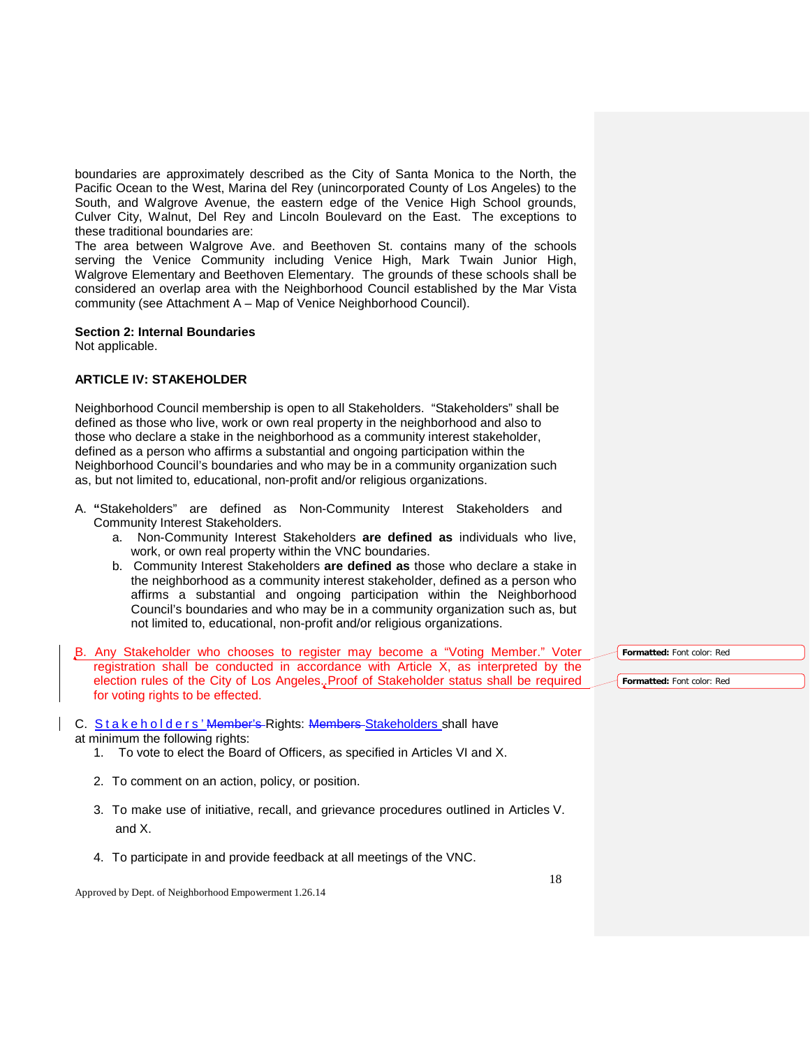boundaries are approximately described as the City of Santa Monica to the North, the Pacific Ocean to the West, Marina del Rey (unincorporated County of Los Angeles) to the South, and Walgrove Avenue, the eastern edge of the Venice High School grounds, Culver City, Walnut, Del Rey and Lincoln Boulevard on the East. The exceptions to these traditional boundaries are:

The area between Walgrove Ave. and Beethoven St. contains many of the schools serving the Venice Community including Venice High, Mark Twain Junior High, Walgrove Elementary and Beethoven Elementary. The grounds of these schools shall be considered an overlap area with the Neighborhood Council established by the Mar Vista community (see Attachment A – Map of Venice Neighborhood Council).

#### **Section 2: Internal Boundaries**

Not applicable.

# **ARTICLE IV: STAKEHOLDER**

Neighborhood Council membership is open to all Stakeholders. "Stakeholders" shall be defined as those who live, work or own real property in the neighborhood and also to those who declare a stake in the neighborhood as a community interest stakeholder, defined as a person who affirms a substantial and ongoing participation within the Neighborhood Council's boundaries and who may be in a community organization such as, but not limited to, educational, non-profit and/or religious organizations.

- A. **"**Stakeholders" are defined as Non-Community Interest Stakeholders and Community Interest Stakeholders.
	- a. Non-Community Interest Stakeholders **are defined as** individuals who live, work, or own real property within the VNC boundaries.
	- b. Community Interest Stakeholders **are defined as** those who declare a stake in the neighborhood as a community interest stakeholder, defined as a person who affirms a substantial and ongoing participation within the Neighborhood Council's boundaries and who may be in a community organization such as, but not limited to, educational, non-profit and/or religious organizations.
- B. Any Stakeholder who chooses to register may become a "Voting Member." Voter registration shall be conducted in accordance with Article X, as interpreted by the election rules of the City of Los Angeles..Proof of Stakeholder status shall be required for voting rights to be effected.
- C. Stakeholders' Member's Rights: Members Stakeholders shall have at minimum the following rights:
	- 1. To vote to elect the Board of Officers, as specified in Articles VI and X.
	- 2. To comment on an action, policy, or position.
	- 3. To make use of initiative, recall, and grievance procedures outlined in Articles V. and X.
	- 4. To participate in and provide feedback at all meetings of the VNC.

Approved by Dept. of Neighborhood Empowerment 1.26.14

**Formatted:** Font color: Red

**Formatted:** Font color: Red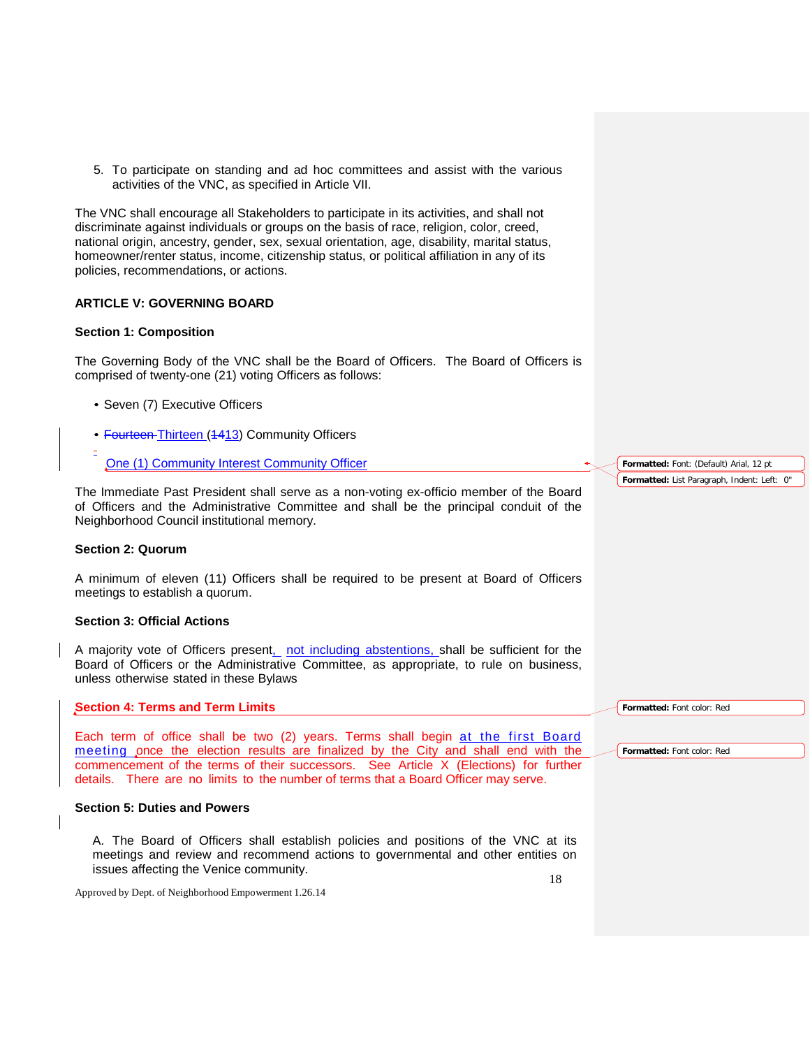5. To participate on standing and ad hoc committees and assist with the various activities of the VNC, as specified in Article VII.

The VNC shall encourage all Stakeholders to participate in its activities, and shall not discriminate against individuals or groups on the basis of race, religion, color, creed, national origin, ancestry, gender, sex, sexual orientation, age, disability, marital status, homeowner/renter status, income, citizenship status, or political affiliation in any of its policies, recommendations, or actions.

# **ARTICLE V: GOVERNING BOARD**

# **Section 1: Composition**

The Governing Body of the VNC shall be the Board of Officers. The Board of Officers is comprised of twenty-one (21) voting Officers as follows:

- Seven (7) Executive Officers
- Fourteen-Thirteen (4413) Community Officers
- One (1) Community Interest Community Officer

The Immediate Past President shall serve as a non-voting ex-officio member of the Board of Officers and the Administrative Committee and shall be the principal conduit of the Neighborhood Council institutional memory.

### **Section 2: Quorum**

A minimum of eleven (11) Officers shall be required to be present at Board of Officers meetings to establish a quorum.

# **Section 3: Official Actions**

A majority vote of Officers present, not including abstentions, shall be sufficient for the Board of Officers or the Administrative Committee, as appropriate, to rule on business, unless otherwise stated in these Bylaws

### **Section 4: Terms and Term Limits**

Each term of office shall be two (2) years. Terms shall begin at the first Board meeting once the election results are finalized by the City and shall end with the commencement of the terms of their successors. See Article X (Elections) for further details. There are no limits to the number of terms that a Board Officer may serve.

# **Section 5: Duties and Powers**

18 A. The Board of Officers shall establish policies and positions of the VNC at its meetings and review and recommend actions to governmental and other entities on issues affecting the Venice community.

Approved by Dept. of Neighborhood Empowerment 1.26.14

**Formatted:** Font: (Default) Arial, 12 pt **Formatted:** List Paragraph, Indent: Left: 0"

**Formatted:** Font color: Red

**Formatted:** Font color: Red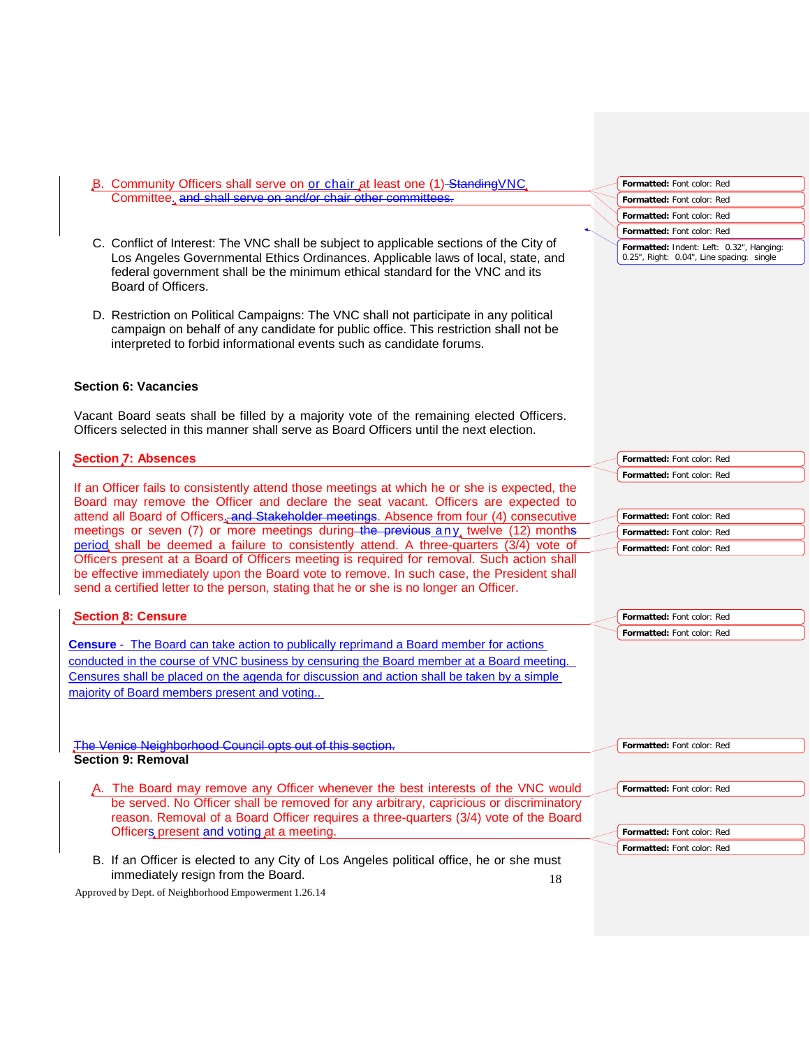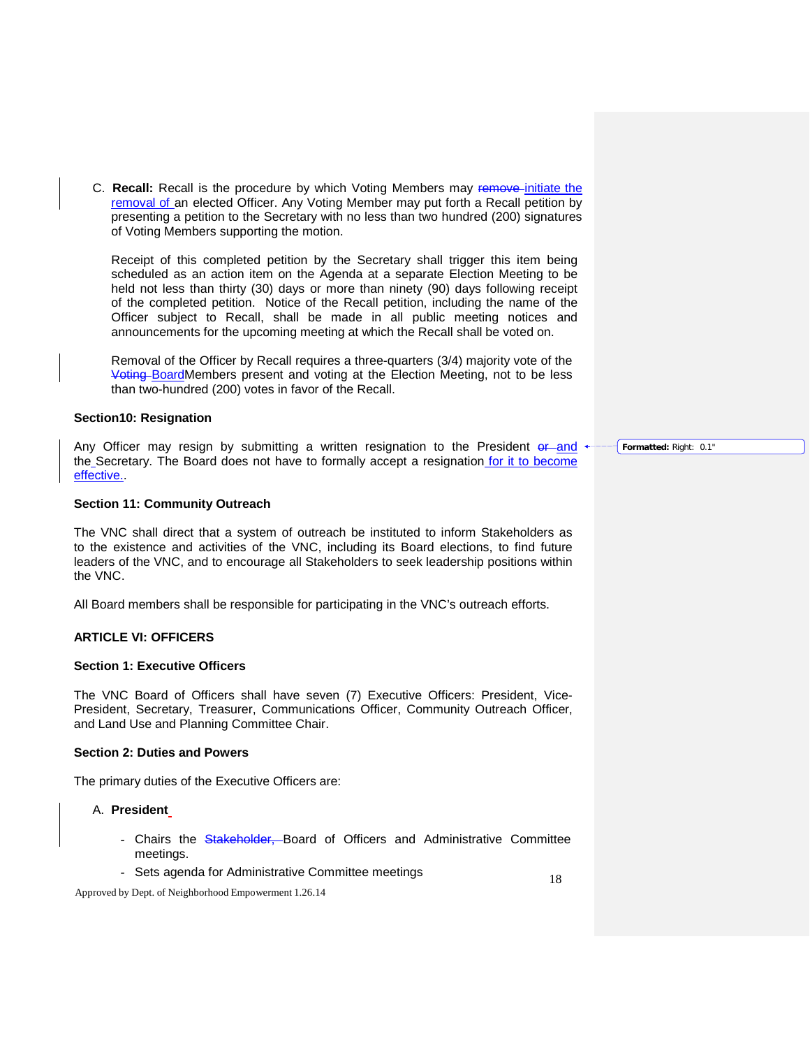C. **Recall:** Recall is the procedure by which Voting Members may remove initiate the removal of an elected Officer. Any Voting Member may put forth a Recall petition by presenting a petition to the Secretary with no less than two hundred (200) signatures of Voting Members supporting the motion.

Receipt of this completed petition by the Secretary shall trigger this item being scheduled as an action item on the Agenda at a separate Election Meeting to be held not less than thirty (30) days or more than ninety (90) days following receipt of the completed petition. Notice of the Recall petition, including the name of the Officer subject to Recall, shall be made in all public meeting notices and announcements for the upcoming meeting at which the Recall shall be voted on.

Removal of the Officer by Recall requires a three-quarters (3/4) majority vote of the Voting BoardMembers present and voting at the Election Meeting, not to be less than two-hundred (200) votes in favor of the Recall.

#### **Section10: Resignation**

Any Officer may resign by submitting a written resignation to the President  $er$  and the Secretary. The Board does not have to formally accept a resignation for it to become effective..

#### **Section 11: Community Outreach**

The VNC shall direct that a system of outreach be instituted to inform Stakeholders as to the existence and activities of the VNC, including its Board elections, to find future leaders of the VNC, and to encourage all Stakeholders to seek leadership positions within the VNC.

All Board members shall be responsible for participating in the VNC's outreach efforts.

### **ARTICLE VI: OFFICERS**

#### **Section 1: Executive Officers**

The VNC Board of Officers shall have seven (7) Executive Officers: President, Vice-President, Secretary, Treasurer, Communications Officer, Community Outreach Officer, and Land Use and Planning Committee Chair.

#### **Section 2: Duties and Powers**

The primary duties of the Executive Officers are:

#### A. **President**

- Chairs the Stakeholder, Board of Officers and Administrative Committee meetings.
- Sets agenda for Administrative Committee meetings

Approved by Dept. of Neighborhood Empowerment 1.26.14

**Formatted:** Right: 0.1"

18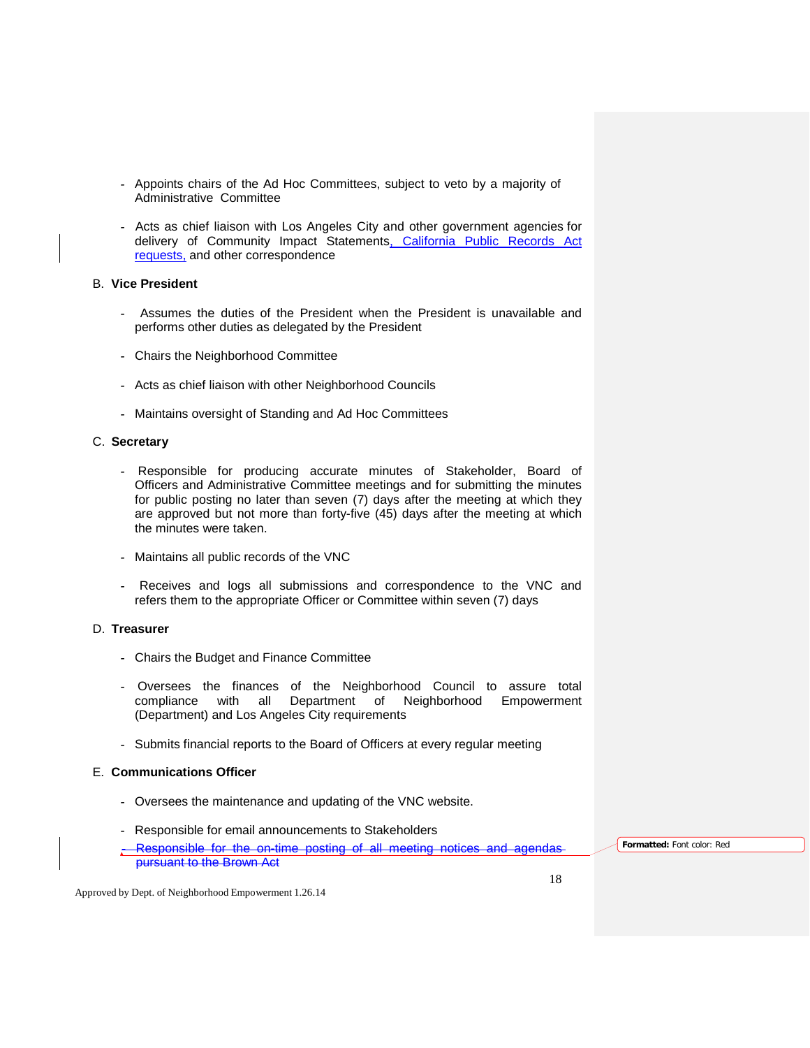- Appoints chairs of the Ad Hoc Committees, subject to veto by a majority of Administrative Committee
- Acts as chief liaison with Los Angeles City and other government agencies for delivery of Community Impact Statements, California Public Records Act requests, and other correspondence

# B. **Vice President**

- Assumes the duties of the President when the President is unavailable and performs other duties as delegated by the President
- Chairs the Neighborhood Committee
- Acts as chief liaison with other Neighborhood Councils
- Maintains oversight of Standing and Ad Hoc Committees

#### C. **Secretary**

- Responsible for producing accurate minutes of Stakeholder, Board of Officers and Administrative Committee meetings and for submitting the minutes for public posting no later than seven (7) days after the meeting at which they are approved but not more than forty-five (45) days after the meeting at which the minutes were taken.
- Maintains all public records of the VNC
- Receives and logs all submissions and correspondence to the VNC and refers them to the appropriate Officer or Committee within seven (7) days

### D. **Treasurer**

- Chairs the Budget and Finance Committee
- Oversees the finances of the Neighborhood Council to assure total all Department of Neighborhood Empowerment (Department) and Los Angeles City requirements
- Submits financial reports to the Board of Officers at every regular meeting

# E. **Communications Officer**

- Oversees the maintenance and updating of the VNC website.
- Responsible for email announcements to Stakeholders
- Responsible for the on-time posting of all meeting notices and agendas pursuant to the Brown Act

**Formatted:** Font color: Red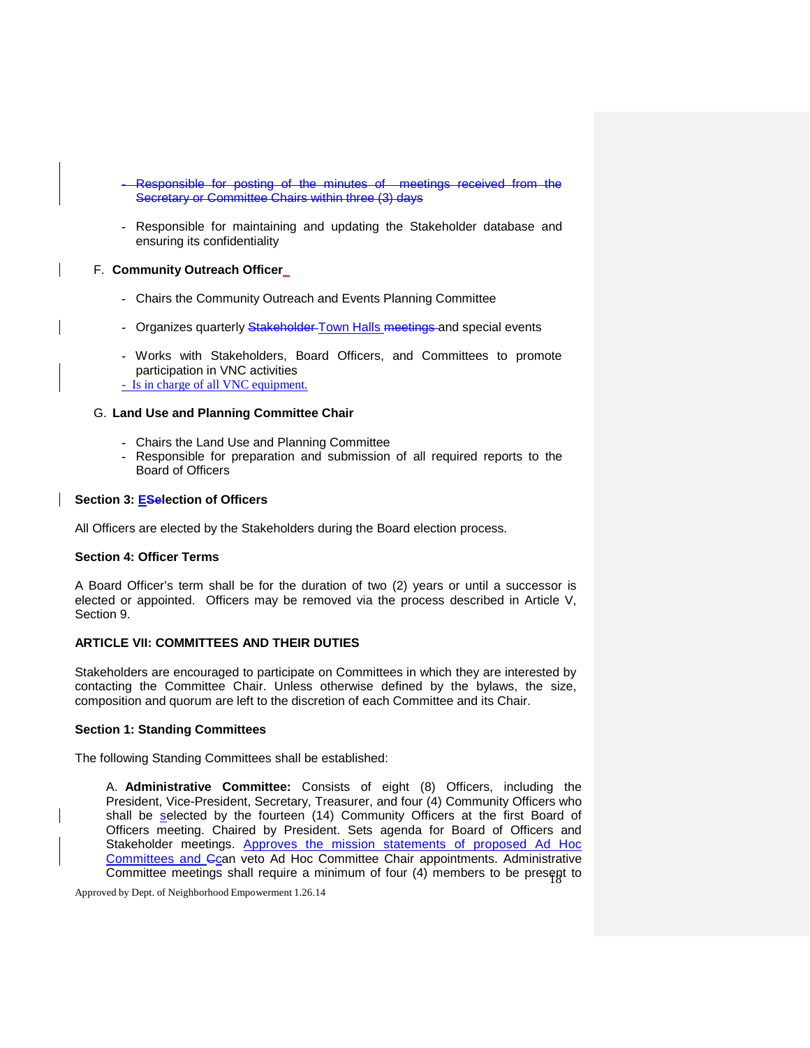- Responsible for posting of the minutes of meetings received from the Secretary or Committee Chairs within three (3) days
- Responsible for maintaining and updating the Stakeholder database and ensuring its confidentiality

# F. **Community Outreach Officer**

- Chairs the Community Outreach and Events Planning Committee
- Organizes quarterly Stakeholder Town Halls meetings and special events
- Works with Stakeholders, Board Officers, and Committees to promote participation in VNC activities - Is in charge of all VNC equipment.

# G. **Land Use and Planning Committee Chair**

- Chairs the Land Use and Planning Committee
- Responsible for preparation and submission of all required reports to the Board of Officers

# **Section 3: ESelection of Officers**

All Officers are elected by the Stakeholders during the Board election process.

### **Section 4: Officer Terms**

A Board Officer's term shall be for the duration of two (2) years or until a successor is elected or appointed. Officers may be removed via the process described in Article V, Section 9.

### **ARTICLE VII: COMMITTEES AND THEIR DUTIES**

Stakeholders are encouraged to participate on Committees in which they are interested by contacting the Committee Chair. Unless otherwise defined by the bylaws, the size, composition and quorum are left to the discretion of each Committee and its Chair.

### **Section 1: Standing Committees**

The following Standing Committees shall be established:

Committee meetings shall require a minimum of four (4) members to be presegt to A. **Administrative Committee:** Consists of eight (8) Officers, including the President, Vice-President, Secretary, Treasurer, and four (4) Community Officers who shall be selected by the fourteen (14) Community Officers at the first Board of Officers meeting. Chaired by President. Sets agenda for Board of Officers and Stakeholder meetings. Approves the mission statements of proposed Ad Hoc Committees and Ccan veto Ad Hoc Committee Chair appointments. Administrative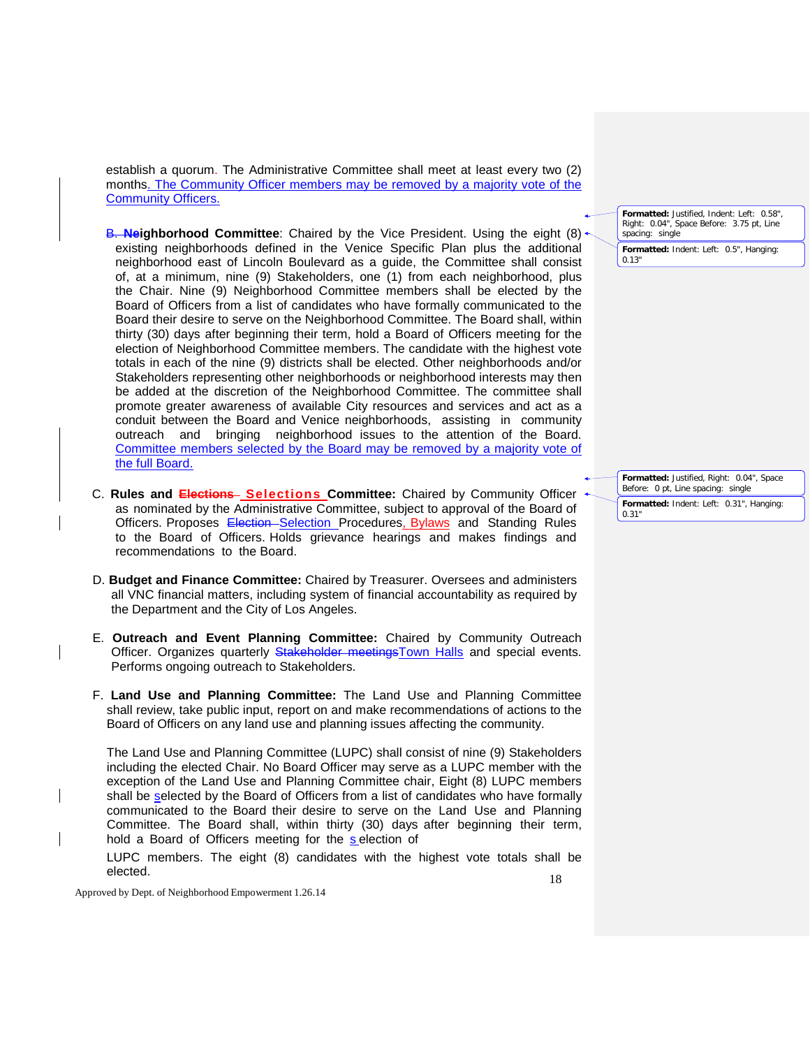establish a quorum. The Administrative Committee shall meet at least every two (2) months. The Community Officer members may be removed by a majority vote of the Community Officers.

- B. **Neighborhood Committee**: Chaired by the Vice President. Using the eight (8) existing neighborhoods defined in the Venice Specific Plan plus the additional neighborhood east of Lincoln Boulevard as a guide, the Committee shall consist of, at a minimum, nine (9) Stakeholders, one (1) from each neighborhood, plus the Chair. Nine (9) Neighborhood Committee members shall be elected by the Board of Officers from a list of candidates who have formally communicated to the Board their desire to serve on the Neighborhood Committee. The Board shall, within thirty (30) days after beginning their term, hold a Board of Officers meeting for the election of Neighborhood Committee members. The candidate with the highest vote totals in each of the nine (9) districts shall be elected. Other neighborhoods and/or Stakeholders representing other neighborhoods or neighborhood interests may then be added at the discretion of the Neighborhood Committee. The committee shall promote greater awareness of available City resources and services and act as a conduit between the Board and Venice neighborhoods, assisting in community outreach and bringing neighborhood issues to the attention of the Board. Committee members selected by the Board may be removed by a majority vote of the full Board.
- C. **Rules and Elections Selections Committee:** Chaired by Community Officer as nominated by the Administrative Committee, subject to approval of the Board of Officers. Proposes Election-Selection Procedures, Bylaws and Standing Rules to the Board of Officers. Holds grievance hearings and makes findings and recommendations to the Board.
- D. **Budget and Finance Committee:** Chaired by Treasurer. Oversees and administers all VNC financial matters, including system of financial accountability as required by the Department and the City of Los Angeles.
- E. **Outreach and Event Planning Committee:** Chaired by Community Outreach Officer. Organizes quarterly Stakeholder meetingsTown Halls and special events. Performs ongoing outreach to Stakeholders.
- F. **Land Use and Planning Committee:** The Land Use and Planning Committee shall review, take public input, report on and make recommendations of actions to the Board of Officers on any land use and planning issues affecting the community.

The Land Use and Planning Committee (LUPC) shall consist of nine (9) Stakeholders including the elected Chair. No Board Officer may serve as a LUPC member with the exception of the Land Use and Planning Committee chair, Eight (8) LUPC members shall be selected by the Board of Officers from a list of candidates who have formally communicated to the Board their desire to serve on the Land Use and Planning Committee. The Board shall, within thirty (30) days after beginning their term, hold a Board of Officers meeting for the s election of

LUPC members. The eight (8) candidates with the highest vote totals shall be elected.

Approved by Dept. of Neighborhood Empowerment 1.26.14

**Formatted:** Justified, Indent: Left: 0.58", Right: 0.04", Space Before: 3.75 pt, Line spacing: single

**Formatted:** Indent: Left: 0.5", Hanging: 0.13"

**Formatted:** Justified, Right: 0.04", Space Before: 0 pt, Line spacing: single **Formatted:** Indent: Left: 0.31", Hanging: 0.31"

18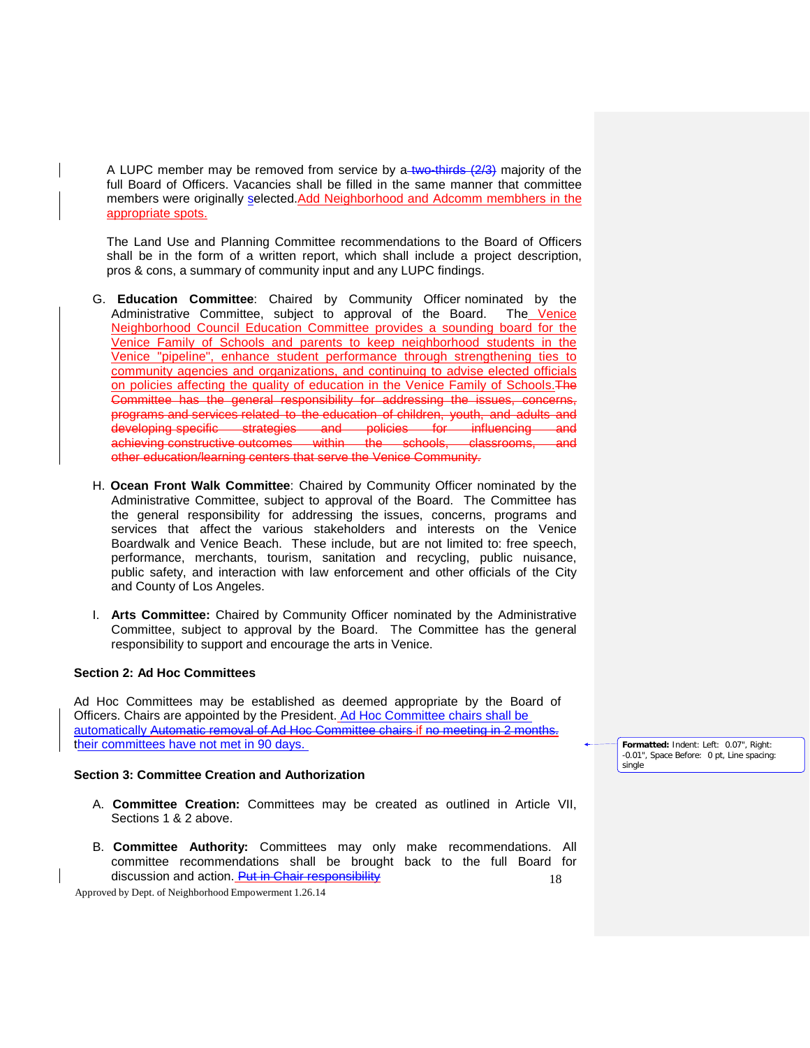A LUPC member may be removed from service by  $a$ -two-thirds  $(2/3)$  majority of the full Board of Officers. Vacancies shall be filled in the same manner that committee members were originally selected.Add Neighborhood and Adcomm membhers in the appropriate spots.

The Land Use and Planning Committee recommendations to the Board of Officers shall be in the form of a written report, which shall include a project description, pros & cons, a summary of community input and any LUPC findings.

- G. **Education Committee**: Chaired by Community Officer nominated by the Administrative Committee, subject to approval of the Board. The Venice Neighborhood Council Education Committee provides a sounding board for the Venice Family of Schools and parents to keep neighborhood students in the Venice "pipeline", enhance student performance through strengthening ties to community agencies and organizations, and continuing to advise elected officials on policies affecting the quality of education in the Venice Family of Schools. The Committee has the general responsibility for addressing the issues, concerns, programs and services related to the education of children, youth, and adults and developing specific strategies and policies for influencing and<br>achieving constructive outcomes within the schools, classrooms, and achieving constructive outcomes within the schools, classrooms, and other education/learning centers that serve the Venice Community.
- H. **Ocean Front Walk Committee**: Chaired by Community Officer nominated by the Administrative Committee, subject to approval of the Board. The Committee has the general responsibility for addressing the issues, concerns, programs and services that affect the various stakeholders and interests on the Venice Boardwalk and Venice Beach. These include, but are not limited to: free speech, performance, merchants, tourism, sanitation and recycling, public nuisance, public safety, and interaction with law enforcement and other officials of the City and County of Los Angeles.
- I. **Arts Committee:** Chaired by Community Officer nominated by the Administrative Committee, subject to approval by the Board. The Committee has the general responsibility to support and encourage the arts in Venice.

#### **Section 2: Ad Hoc Committees**

Ad Hoc Committees may be established as deemed appropriate by the Board of Officers. Chairs are appointed by the President. Ad Hoc Committee chairs shall be automatically Automatic removal of Ad Hoc Committee chairs if no meeting in 2 months. their committees have not met in 90 days.

#### **Section 3: Committee Creation and Authorization**

- A. **Committee Creation:** Committees may be created as outlined in Article VII, Sections 1 & 2 above.
- 18 B. **Committee Authority:** Committees may only make recommendations. All committee recommendations shall be brought back to the full Board for discussion and action. Put in Chair responsibility

Approved by Dept. of Neighborhood Empowerment 1.26.14

**Formatted:** Indent: Left: 0.07", Right: -0.01", Space Before: 0 pt, Line spacing: single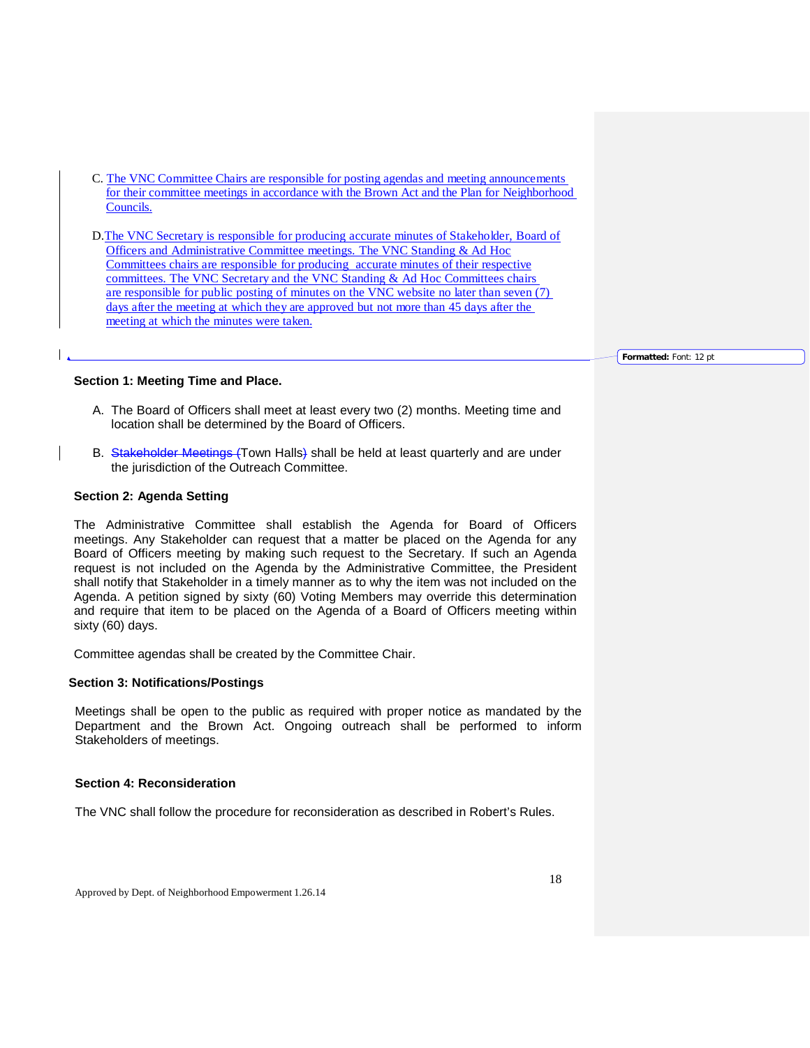- C. The VNC Committee Chairs are responsible for posting agendas and meeting announcements for their committee meetings in accordance with the Brown Act and the Plan for Neighborhood Councils.
- D.The VNC Secretary is responsible for producing accurate minutes of Stakeholder, Board of Officers and Administrative Committee meetings. The VNC Standing & Ad Hoc Committees chairs are responsible for producing accurate minutes of their respective committees. The VNC Secretary and the VNC Standing & Ad Hoc Committees chairs are responsible for public posting of minutes on the VNC website no later than seven (7) days after the meeting at which they are approved but not more than 45 days after the meeting at which the minutes were taken.

**Formatted:** Font: 12 pt

#### **Section 1: Meeting Time and Place.**

- A. The Board of Officers shall meet at least every two (2) months. Meeting time and location shall be determined by the Board of Officers.
- B. Stakeholder Meetings (Town Halls) shall be held at least quarterly and are under the jurisdiction of the Outreach Committee.

#### **Section 2: Agenda Setting**

The Administrative Committee shall establish the Agenda for Board of Officers meetings. Any Stakeholder can request that a matter be placed on the Agenda for any Board of Officers meeting by making such request to the Secretary. If such an Agenda request is not included on the Agenda by the Administrative Committee, the President shall notify that Stakeholder in a timely manner as to why the item was not included on the Agenda. A petition signed by sixty (60) Voting Members may override this determination and require that item to be placed on the Agenda of a Board of Officers meeting within sixty (60) days.

Committee agendas shall be created by the Committee Chair.

### **Section 3: Notifications/Postings**

Meetings shall be open to the public as required with proper notice as mandated by the Department and the Brown Act. Ongoing outreach shall be performed to inform Stakeholders of meetings.

#### **Section 4: Reconsideration**

The VNC shall follow the procedure for reconsideration as described in Robert's Rules.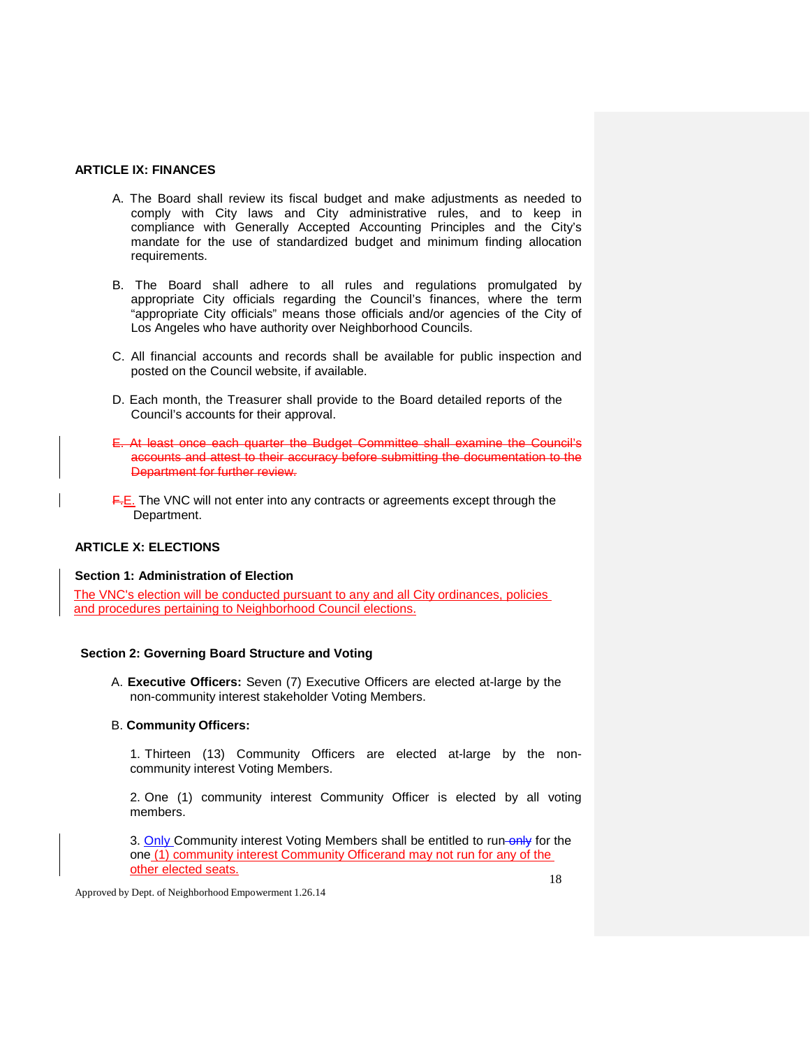# **ARTICLE IX: FINANCES**

- A. The Board shall review its fiscal budget and make adjustments as needed to comply with City laws and City administrative rules, and to keep in compliance with Generally Accepted Accounting Principles and the City's mandate for the use of standardized budget and minimum finding allocation requirements.
- B. The Board shall adhere to all rules and regulations promulgated by appropriate City officials regarding the Council's finances, where the term "appropriate City officials" means those officials and/or agencies of the City of Los Angeles who have authority over Neighborhood Councils.
- C. All financial accounts and records shall be available for public inspection and posted on the Council website, if available.
- D. Each month, the Treasurer shall provide to the Board detailed reports of the Council's accounts for their approval.
- E. At least once each quarter the Budget Committee shall examine the Council's accounts and attest to their accuracy before submitting the documentation to the Department for further review.
- F.E. The VNC will not enter into any contracts or agreements except through the Department.

# **ARTICLE X: ELECTIONS**

### **Section 1: Administration of Election**

The VNC's election will be conducted pursuant to any and all City ordinances, policies and procedures pertaining to Neighborhood Council elections.

# **Section 2: Governing Board Structure and Voting**

A. **Executive Officers:** Seven (7) Executive Officers are elected at-large by the non-community interest stakeholder Voting Members.

### B. **Community Officers:**

1. Thirteen (13) Community Officers are elected at-large by the noncommunity interest Voting Members.

2. One (1) community interest Community Officer is elected by all voting members.

3. Only Community interest Voting Members shall be entitled to run-only for the one (1) community interest Community Officerand may not run for any of the other elected seats.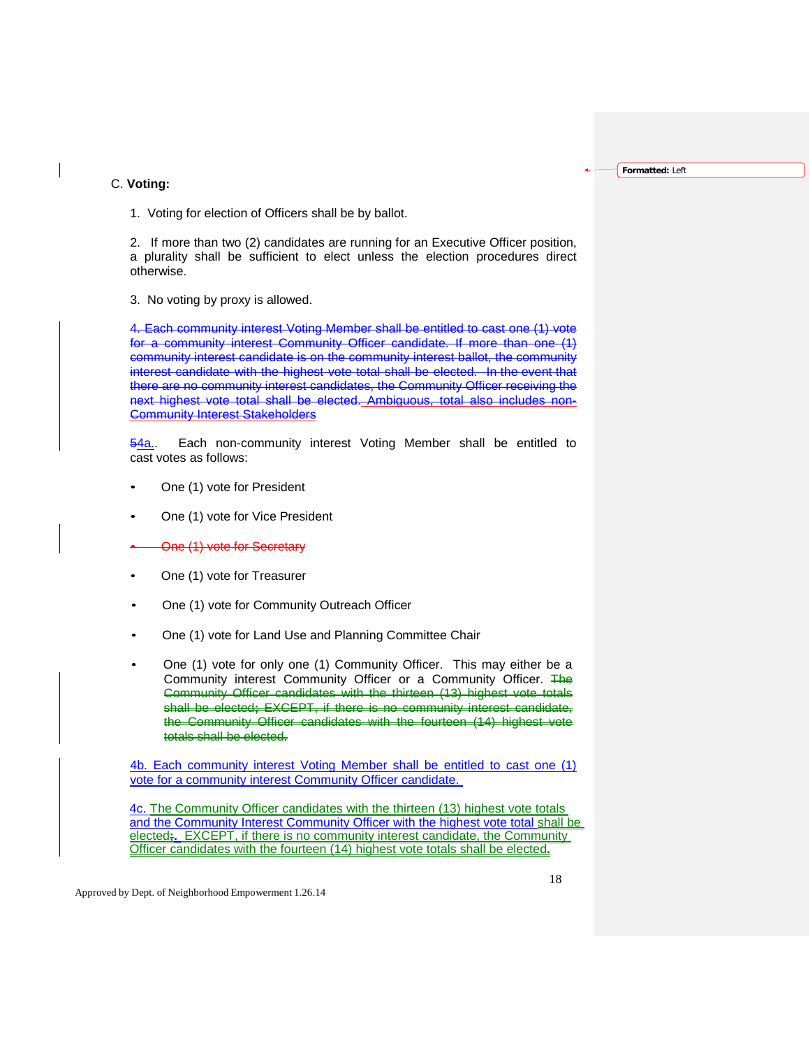**Formatted:** Left

#### C. **Voting:**

1. Voting for election of Officers shall be by ballot.

2. If more than two (2) candidates are running for an Executive Officer position, a plurality shall be sufficient to elect unless the election procedures direct otherwise.

3. No voting by proxy is allowed.

4. Each community interest Voting Member shall be entitled to cast one (1) vote for a community interest Community Officer candidate. If more than one (1) community interest candidate is on the community interest ballot, the community interest candidate with the highest vote total shall be elected. In the event that there are no community interest candidates, the Community Officer receiving the next highest vote total shall be elected. Ambiguous, total also includes Community Interest Stakeholders

54a. Each non-community interest Voting Member shall be entitled to cast votes as follows:

- One (1) vote for President
- One (1) vote for Vice President
- One (1) vote for Secretary
- One (1) vote for Treasurer
- One (1) vote for Community Outreach Officer
- One (1) vote for Land Use and Planning Committee Chair
- One (1) vote for only one (1) Community Officer. This may either be a Community interest Community Officer or a Community Officer. The Community Officer candidates with the thirteen (13) highest vote totals shall be elected**;** EXCEPT, if there is no community interest candidate, the Community Officer candidates with the fourteen (14) highest vote totals shall be elected**.**

4b. Each community interest Voting Member shall be entitled to cast one (1) vote for a community interest Community Officer candidate.

4c. The Community Officer candidates with the thirteen (13) highest vote totals and the Community Interest Community Officer with the highest vote total shall be elected**;.** EXCEPT, if there is no community interest candidate, the Community Officer candidates with the fourteen (14) highest vote totals shall be elected**.**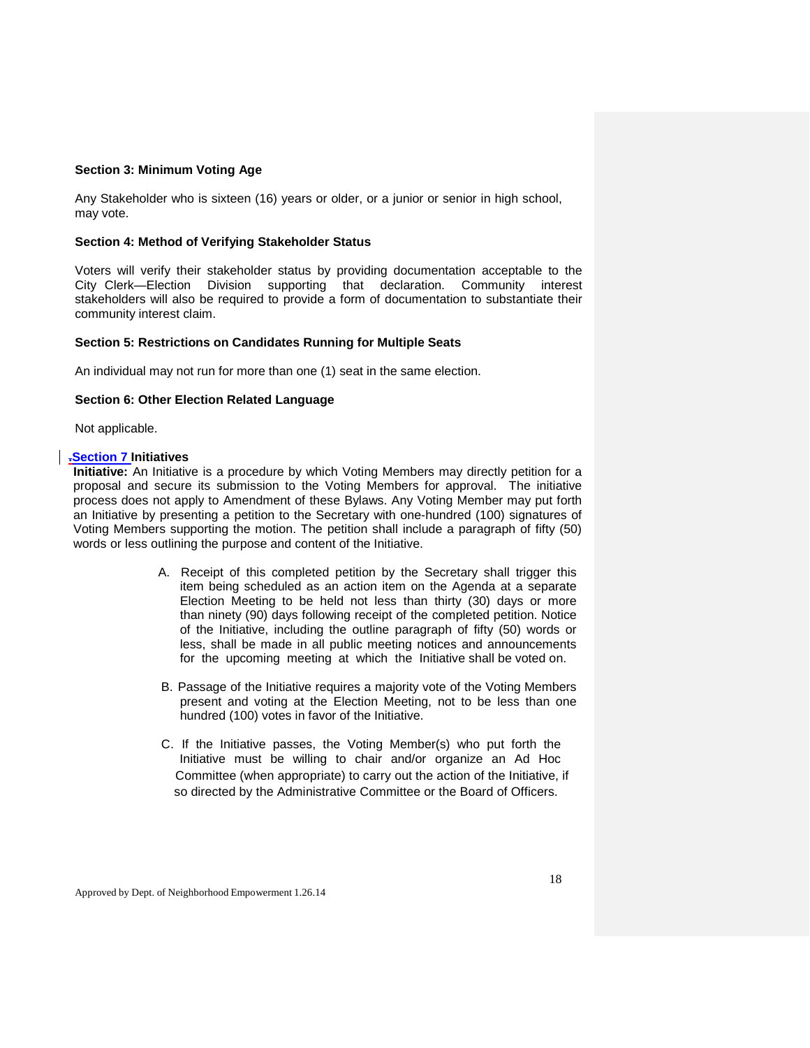#### **Section 3: Minimum Voting Age**

Any Stakeholder who is sixteen (16) years or older, or a junior or senior in high school, may vote.

### **Section 4: Method of Verifying Stakeholder Status**

Voters will verify their stakeholder status by providing documentation acceptable to the City Clerk—Election Division supporting that declaration. Community interest stakeholders will also be required to provide a form of documentation to substantiate their community interest claim.

### **Section 5: Restrictions on Candidates Running for Multiple Seats**

An individual may not run for more than one (1) seat in the same election.

### **Section 6: Other Election Related Language**

Not applicable.

### **.Section 7 Initiatives**

**Initiative:** An Initiative is a procedure by which Voting Members may directly petition for a proposal and secure its submission to the Voting Members for approval. The initiative process does not apply to Amendment of these Bylaws. Any Voting Member may put forth an Initiative by presenting a petition to the Secretary with one-hundred (100) signatures of Voting Members supporting the motion. The petition shall include a paragraph of fifty (50) words or less outlining the purpose and content of the Initiative.

- A. Receipt of this completed petition by the Secretary shall trigger this item being scheduled as an action item on the Agenda at a separate Election Meeting to be held not less than thirty (30) days or more than ninety (90) days following receipt of the completed petition. Notice of the Initiative, including the outline paragraph of fifty (50) words or less, shall be made in all public meeting notices and announcements for the upcoming meeting at which the Initiative shall be voted on.
- B. Passage of the Initiative requires a majority vote of the Voting Members present and voting at the Election Meeting, not to be less than one hundred (100) votes in favor of the Initiative.
- C. If the Initiative passes, the Voting Member(s) who put forth the Initiative must be willing to chair and/or organize an Ad Hoc Committee (when appropriate) to carry out the action of the Initiative, if so directed by the Administrative Committee or the Board of Officers.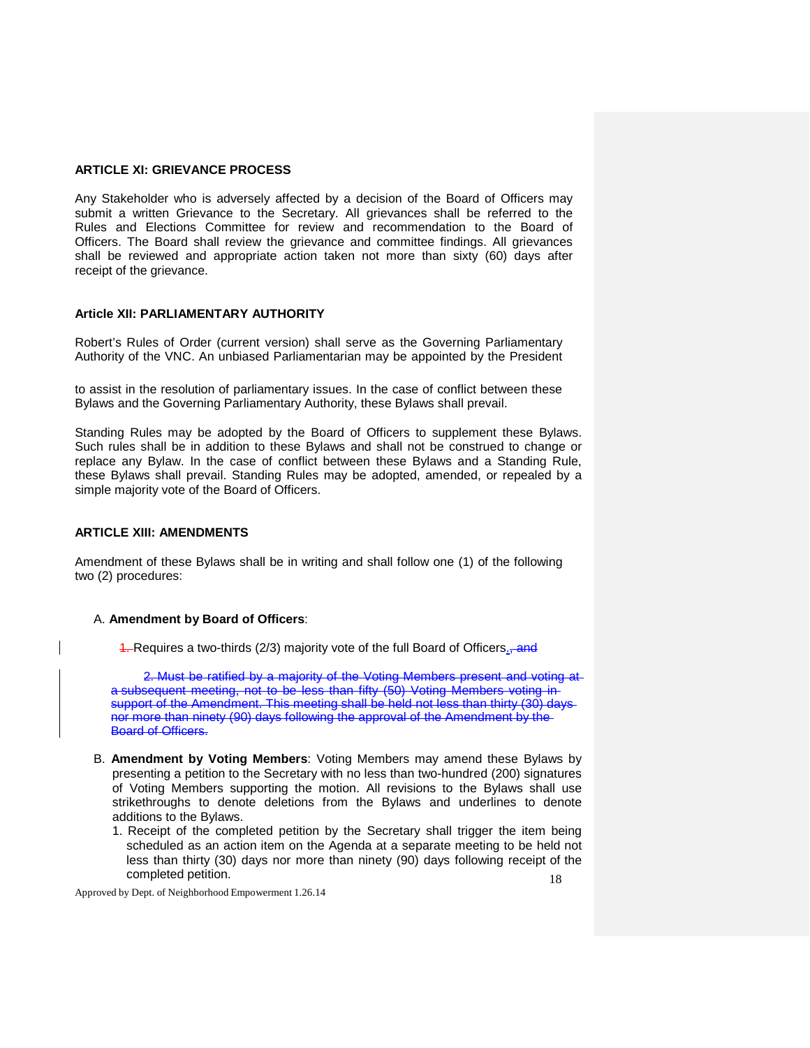# **ARTICLE XI: GRIEVANCE PROCESS**

Any Stakeholder who is adversely affected by a decision of the Board of Officers may submit a written Grievance to the Secretary. All grievances shall be referred to the Rules and Elections Committee for review and recommendation to the Board of Officers. The Board shall review the grievance and committee findings. All grievances shall be reviewed and appropriate action taken not more than sixty (60) days after receipt of the grievance.

#### **Article XII: PARLIAMENTARY AUTHORITY**

Robert's Rules of Order (current version) shall serve as the Governing Parliamentary Authority of the VNC. An unbiased Parliamentarian may be appointed by the President

to assist in the resolution of parliamentary issues. In the case of conflict between these Bylaws and the Governing Parliamentary Authority, these Bylaws shall prevail.

Standing Rules may be adopted by the Board of Officers to supplement these Bylaws. Such rules shall be in addition to these Bylaws and shall not be construed to change or replace any Bylaw. In the case of conflict between these Bylaws and a Standing Rule, these Bylaws shall prevail. Standing Rules may be adopted, amended, or repealed by a simple majority vote of the Board of Officers.

### **ARTICLE XIII: AMENDMENTS**

Amendment of these Bylaws shall be in writing and shall follow one (1) of the following two (2) procedures:

#### A. **Amendment by Board of Officers**:

4. Requires a two-thirds (2/3) majority vote of the full Board of Officers<sub>5</sub> and

2. Must be ratified by a majority of the Voting Members present and voting at a subsequent meeting, not to be less than fifty (50) Voting Members voting in support of the Amendment. This meeting shall be held not less than thirty (30) daysnor more than ninety (90) days following the approval of the Amendment by the Board of Officers.

- B. **Amendment by Voting Members**: Voting Members may amend these Bylaws by presenting a petition to the Secretary with no less than two-hundred (200) signatures of Voting Members supporting the motion. All revisions to the Bylaws shall use strikethroughs to denote deletions from the Bylaws and underlines to denote additions to the Bylaws.
	- 18 1. Receipt of the completed petition by the Secretary shall trigger the item being scheduled as an action item on the Agenda at a separate meeting to be held not less than thirty (30) days nor more than ninety (90) days following receipt of the completed petition.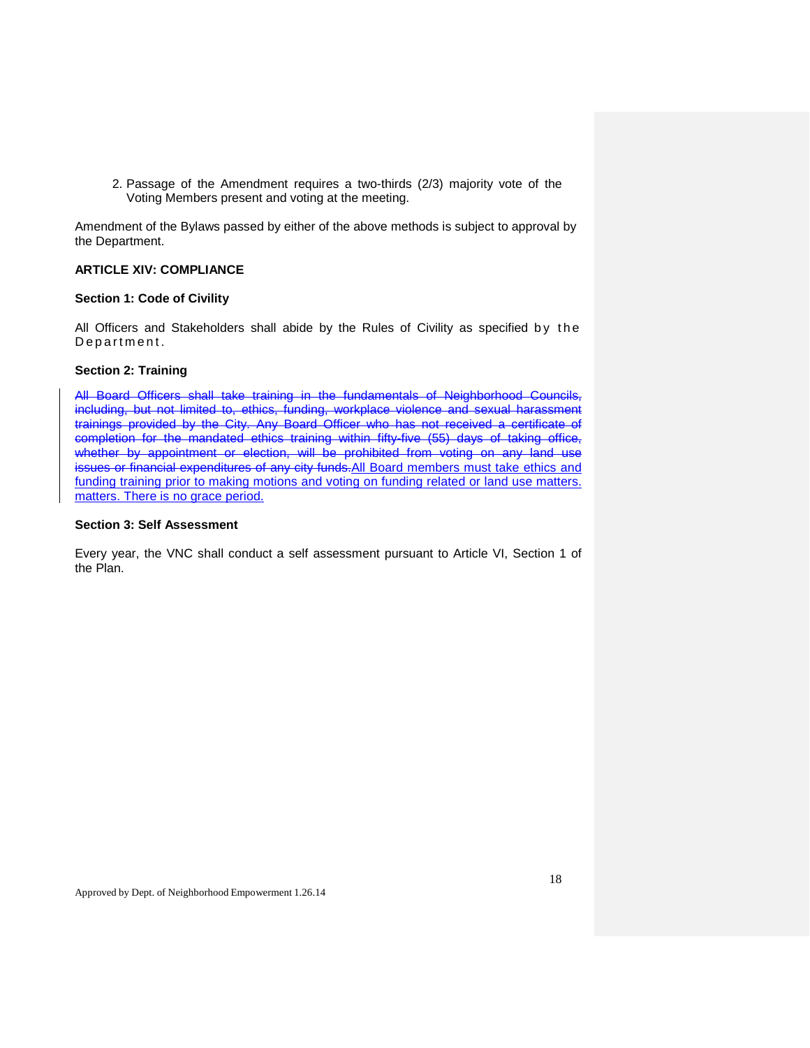2. Passage of the Amendment requires a two-thirds (2/3) majority vote of the Voting Members present and voting at the meeting.

Amendment of the Bylaws passed by either of the above methods is subject to approval by the Department.

# **ARTICLE XIV: COMPLIANCE**

# **Section 1: Code of Civility**

All Officers and Stakeholders shall abide by the Rules of Civility as specified by the Department.

# **Section 2: Training**

All Board Officers shall take training in the fundamentals of Neighborhood Councils, including, but not limited to, ethics, funding, workplace violence and sexual harassment trainings provided by the City. Any Board Officer who has not received a certificate of completion for the mandated ethics training within fifty-five (55) days of taking office, whether by appointment or election, will be prohibited from voting on any land use issues or financial expenditures of any city funds.All Board members must take ethics and funding training prior to making motions and voting on funding related or land use matters. matters. There is no grace period.

#### **Section 3: Self Assessment**

Every year, the VNC shall conduct a self assessment pursuant to Article VI, Section 1 of the Plan.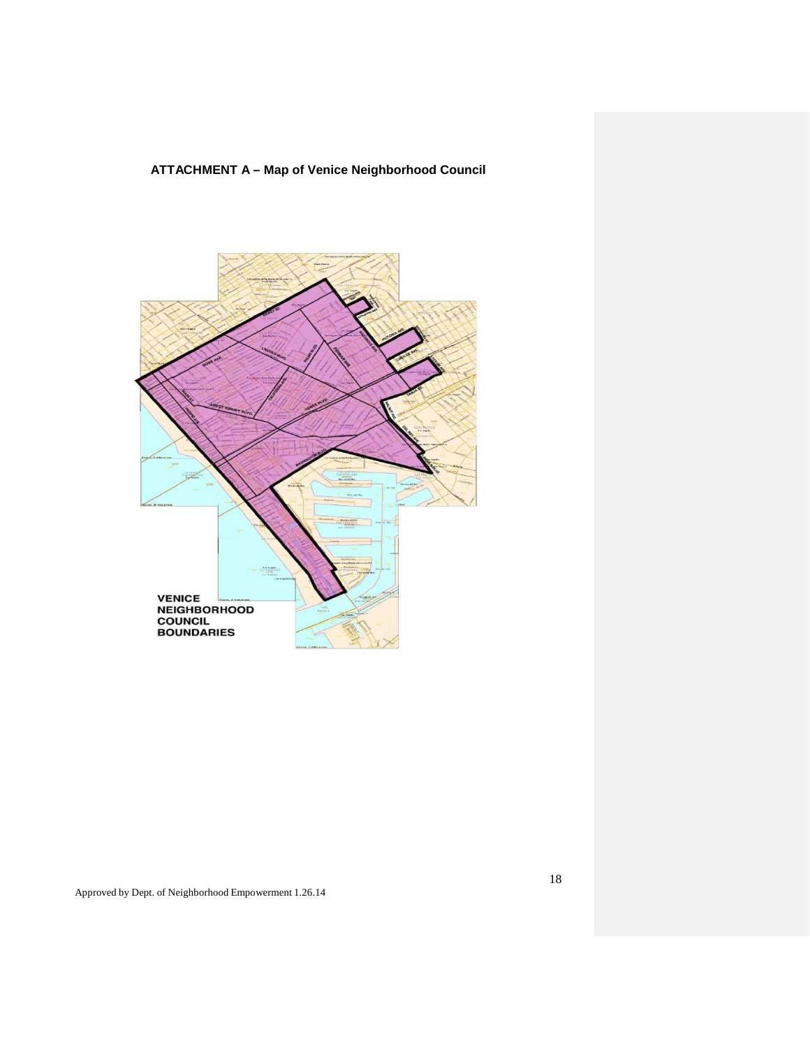**ATTACHMENT A – Map of Venice Neighborhood Council**

![](_page_17_Figure_1.jpeg)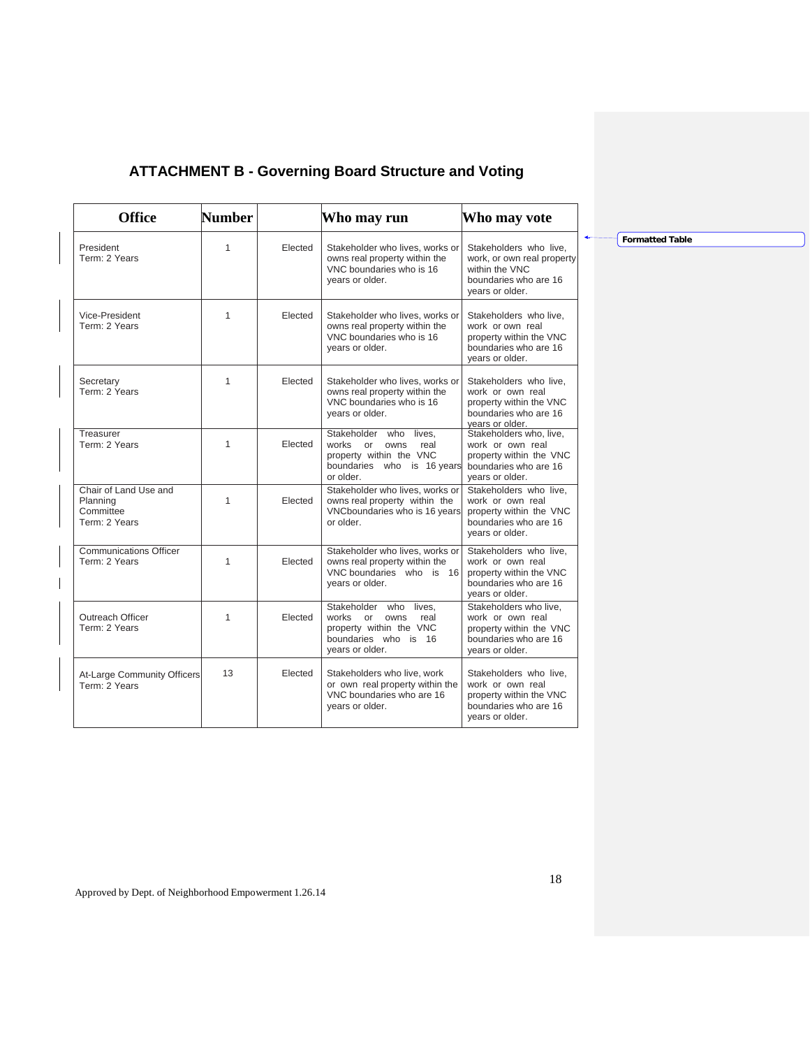# **ATTACHMENT B - Governing Board Structure and Voting**

| <b>Office</b>                                                   | Number       |         | Who may run                                                                                                                 | Who may vote                                                                                                       |
|-----------------------------------------------------------------|--------------|---------|-----------------------------------------------------------------------------------------------------------------------------|--------------------------------------------------------------------------------------------------------------------|
| President<br>Term: 2 Years                                      | $\mathbf{1}$ | Elected | Stakeholder who lives, works or<br>owns real property within the<br>VNC boundaries who is 16<br>vears or older.             | Stakeholders who live.<br>work, or own real property<br>within the VNC<br>boundaries who are 16<br>years or older. |
| Vice-President<br>Term: 2 Years                                 | 1            | Elected | Stakeholder who lives, works or<br>owns real property within the<br>VNC boundaries who is 16<br>vears or older.             | Stakeholders who live,<br>work or own real<br>property within the VNC<br>boundaries who are 16<br>years or older.  |
| Secretary<br>Term: 2 Years                                      | $\mathbf{1}$ | Elected | Stakeholder who lives, works or<br>owns real property within the<br>VNC boundaries who is 16<br>years or older.             | Stakeholders who live.<br>work or own real<br>property within the VNC<br>boundaries who are 16<br>vears or older.  |
| Treasurer<br>Term: 2 Years                                      | 1            | Elected | Stakeholder who lives.<br>works<br>owns<br>real<br>or<br>property within the VNC<br>boundaries who is 16 years<br>or older. | Stakeholders who, live,<br>work or own real<br>property within the VNC<br>boundaries who are 16<br>years or older. |
| Chair of Land Use and<br>Planning<br>Committee<br>Term: 2 Years | 1            | Elected | Stakeholder who lives, works or<br>owns real property within the<br>VNCboundaries who is 16 years<br>or older.              | Stakeholders who live,<br>work or own real<br>property within the VNC<br>boundaries who are 16<br>years or older.  |
| <b>Communications Officer</b><br>Term: 2 Years                  | 1            | Elected | Stakeholder who lives, works or<br>owns real property within the<br>VNC boundaries who is 16<br>years or older.             | Stakeholders who live,<br>work or own real<br>property within the VNC<br>boundaries who are 16<br>years or older.  |
| Outreach Officer<br>Term: 2 Years                               | 1            | Elected | Stakeholder who<br>lives.<br>works or<br>owns<br>real<br>property within the VNC<br>boundaries who is 16<br>years or older. | Stakeholders who live,<br>work or own real<br>property within the VNC<br>boundaries who are 16<br>years or older.  |
| At-Large Community Officers<br>Term: 2 Years                    | 13           | Elected | Stakeholders who live, work<br>or own real property within the<br>VNC boundaries who are 16<br>years or older.              | Stakeholders who live,<br>work or own real<br>property within the VNC<br>boundaries who are 16<br>vears or older.  |

**Formatted Table**